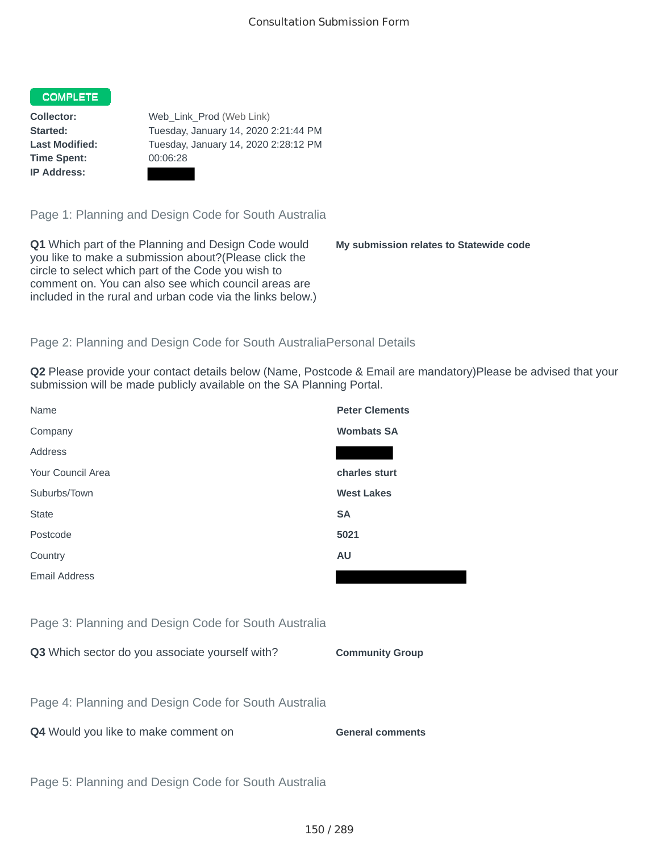# **COMPLETE**

**Time Spent:** 00:06:28 **IP Address:**

**Collector:** Web\_Link\_Prod (Web Link) **Started:** Tuesday, January 14, 2020 2:21:44 PM **Last Modified:** Tuesday, January 14, 2020 2:28:12 PM

Page 1: Planning and Design Code for South Australia

**Q1** Which part of the Planning and Design Code would you like to make a submission about?(Please click the circle to select which part of the Code you wish to comment on. You can also see which council areas are included in the rural and urban code via the links below.)

**My submission relates to Statewide code**

### Page 2: Planning and Design Code for South AustraliaPersonal Details

**Q2** Please provide your contact details below (Name, Postcode & Email are mandatory)Please be advised that your submission will be made publicly available on the SA Planning Portal.

| Name                 | <b>Peter Clements</b> |
|----------------------|-----------------------|
| Company              | <b>Wombats SA</b>     |
| Address              |                       |
| Your Council Area    | charles sturt         |
| Suburbs/Town         | <b>West Lakes</b>     |
| <b>State</b>         | <b>SA</b>             |
| Postcode             | 5021                  |
| Country              | <b>AU</b>             |
| <b>Email Address</b> |                       |

Page 3: Planning and Design Code for South Australia

**Q3** Which sector do you associate yourself with? **Community Group** 

Page 4: Planning and Design Code for South Australia

**Q4** Would you like to make comment on **General comments** 

Page 5: Planning and Design Code for South Australia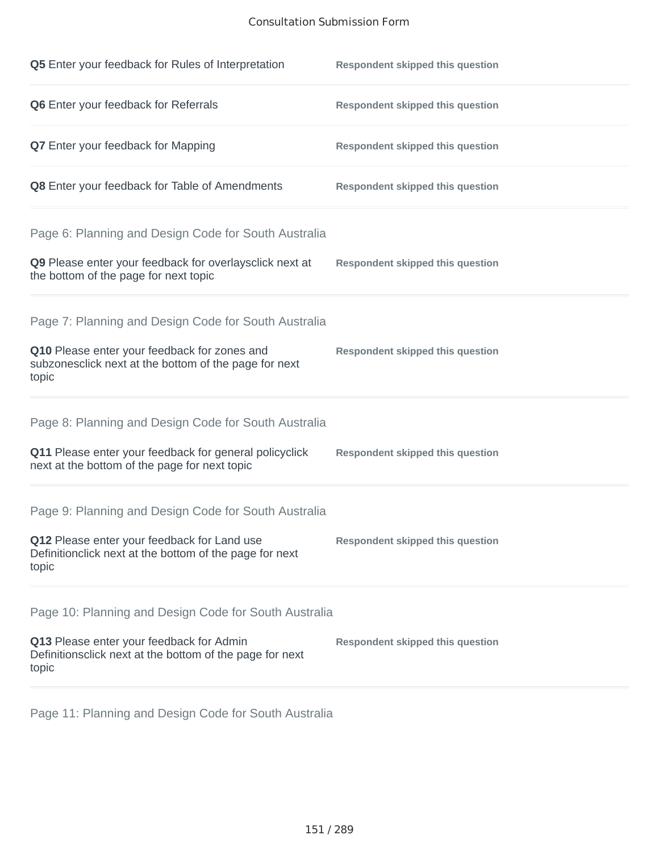#### Consultation Submission Form

| Q5 Enter your feedback for Rules of Interpretation                                                              | <b>Respondent skipped this question</b> |
|-----------------------------------------------------------------------------------------------------------------|-----------------------------------------|
| Q6 Enter your feedback for Referrals                                                                            | <b>Respondent skipped this question</b> |
| <b>Q7</b> Enter your feedback for Mapping                                                                       | <b>Respondent skipped this question</b> |
| Q8 Enter your feedback for Table of Amendments                                                                  | <b>Respondent skipped this question</b> |
| Page 6: Planning and Design Code for South Australia                                                            |                                         |
| Q9 Please enter your feedback for overlaysclick next at<br>the bottom of the page for next topic                | <b>Respondent skipped this question</b> |
| Page 7: Planning and Design Code for South Australia                                                            |                                         |
| Q10 Please enter your feedback for zones and<br>subzonesclick next at the bottom of the page for next<br>topic  | <b>Respondent skipped this question</b> |
| Page 8: Planning and Design Code for South Australia                                                            |                                         |
| Q11 Please enter your feedback for general policyclick<br>next at the bottom of the page for next topic         | <b>Respondent skipped this question</b> |
| Page 9: Planning and Design Code for South Australia                                                            |                                         |
| Q12 Please enter your feedback for Land use<br>Definitionclick next at the bottom of the page for next<br>topic | <b>Respondent skipped this question</b> |
| Page 10: Planning and Design Code for South Australia                                                           |                                         |
| Q13 Please enter your feedback for Admin<br>Definitionsclick next at the bottom of the page for next<br>topic   | <b>Respondent skipped this question</b> |

Page 11: Planning and Design Code for South Australia